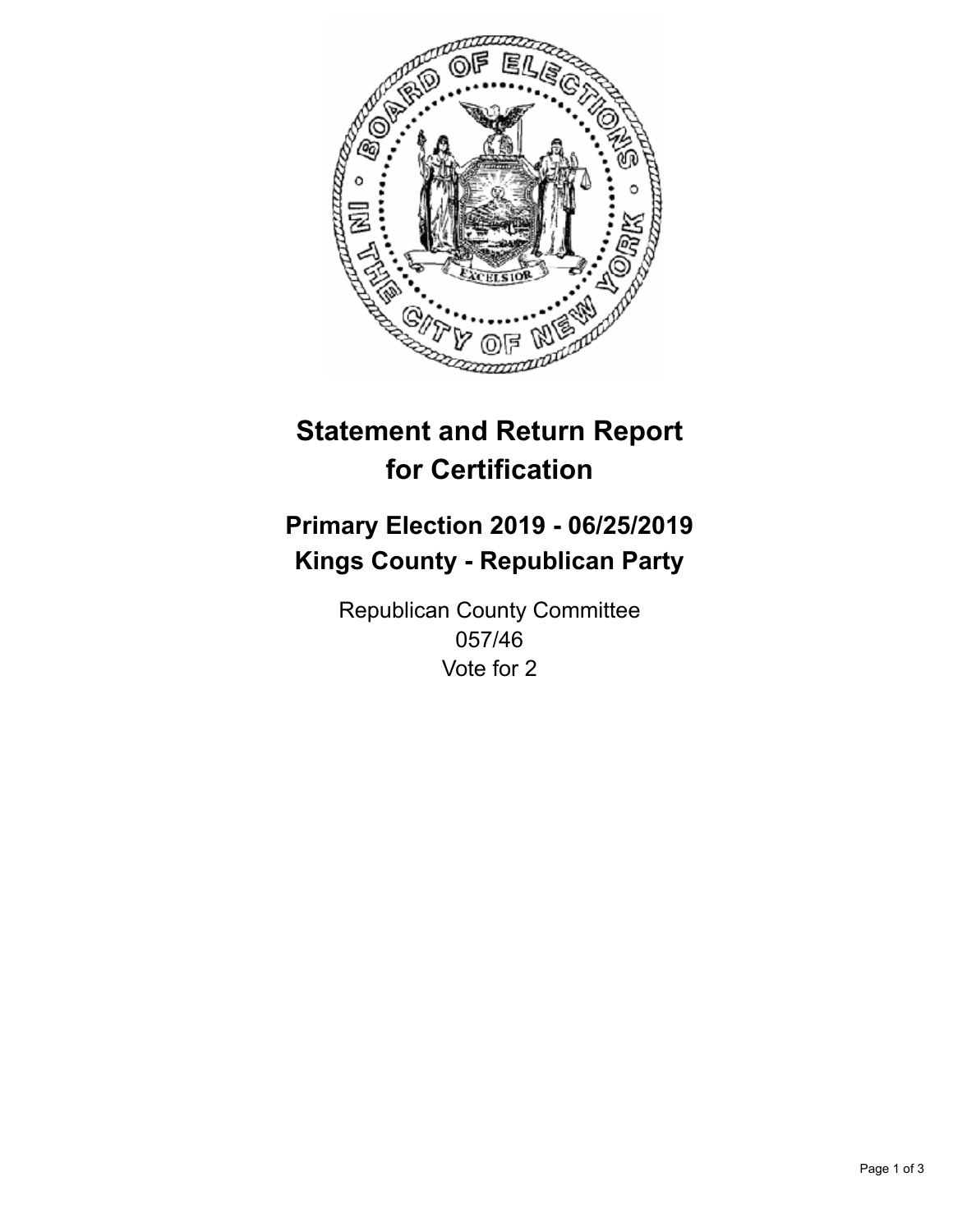

## **Statement and Return Report for Certification**

## **Primary Election 2019 - 06/25/2019 Kings County - Republican Party**

Republican County Committee 057/46 Vote for 2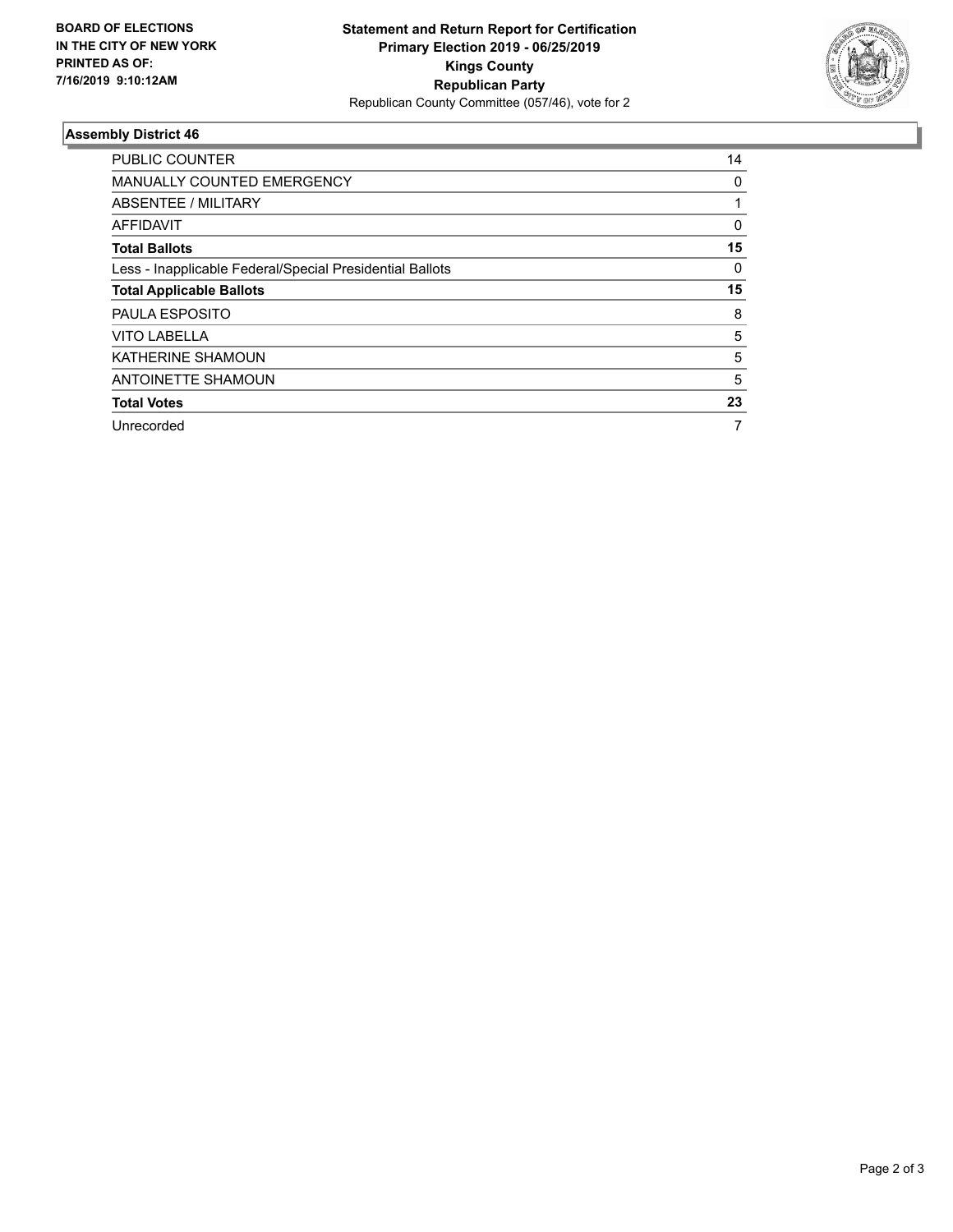

## **Assembly District 46**

| <b>PUBLIC COUNTER</b>                                    | 14 |
|----------------------------------------------------------|----|
| <b>MANUALLY COUNTED EMERGENCY</b>                        | 0  |
| ABSENTEE / MILITARY                                      |    |
| AFFIDAVIT                                                | 0  |
| <b>Total Ballots</b>                                     | 15 |
| Less - Inapplicable Federal/Special Presidential Ballots | 0  |
| <b>Total Applicable Ballots</b>                          | 15 |
| <b>PAULA ESPOSITO</b>                                    | 8  |
| <b>VITO LABELLA</b>                                      | 5  |
| <b>KATHERINE SHAMOUN</b>                                 | 5  |
| ANTOINETTE SHAMOUN                                       | 5  |
| <b>Total Votes</b>                                       | 23 |
| Unrecorded                                               |    |